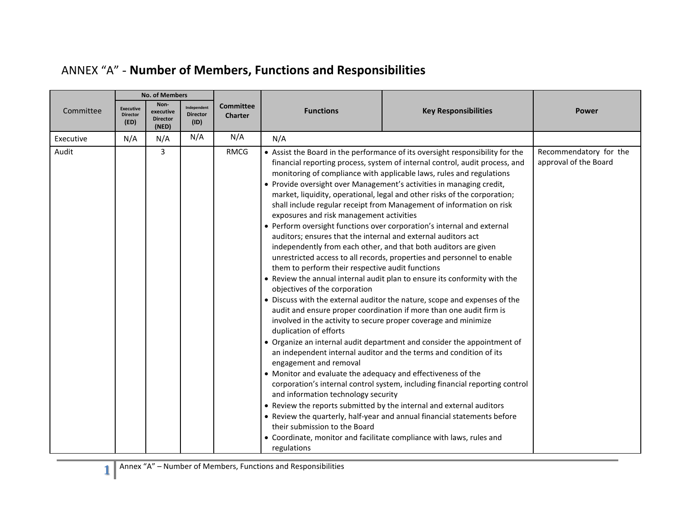|           | <b>No. of Members</b>                       |                                               |                                        |                                    |                                                                                                                                                                                                                                                                                                                                                                                                                                                                              |                                                                                                                                                                                                                                                                                                                                                                                                                                                                                                                                                                                                                                                                                                                                                                                                                                                                                                                                                                                                                                                                                                                                                                                                                                                                                                                                                                                        |                                                 |
|-----------|---------------------------------------------|-----------------------------------------------|----------------------------------------|------------------------------------|------------------------------------------------------------------------------------------------------------------------------------------------------------------------------------------------------------------------------------------------------------------------------------------------------------------------------------------------------------------------------------------------------------------------------------------------------------------------------|----------------------------------------------------------------------------------------------------------------------------------------------------------------------------------------------------------------------------------------------------------------------------------------------------------------------------------------------------------------------------------------------------------------------------------------------------------------------------------------------------------------------------------------------------------------------------------------------------------------------------------------------------------------------------------------------------------------------------------------------------------------------------------------------------------------------------------------------------------------------------------------------------------------------------------------------------------------------------------------------------------------------------------------------------------------------------------------------------------------------------------------------------------------------------------------------------------------------------------------------------------------------------------------------------------------------------------------------------------------------------------------|-------------------------------------------------|
| Committee | <b>Executive</b><br><b>Director</b><br>(ED) | Non-<br>executive<br><b>Director</b><br>(NED) | Independent<br><b>Director</b><br>(1D) | <b>Committee</b><br><b>Charter</b> | <b>Functions</b>                                                                                                                                                                                                                                                                                                                                                                                                                                                             | <b>Key Responsibilities</b>                                                                                                                                                                                                                                                                                                                                                                                                                                                                                                                                                                                                                                                                                                                                                                                                                                                                                                                                                                                                                                                                                                                                                                                                                                                                                                                                                            | <b>Power</b>                                    |
| Executive | N/A                                         | N/A                                           | N/A                                    | N/A                                | N/A                                                                                                                                                                                                                                                                                                                                                                                                                                                                          |                                                                                                                                                                                                                                                                                                                                                                                                                                                                                                                                                                                                                                                                                                                                                                                                                                                                                                                                                                                                                                                                                                                                                                                                                                                                                                                                                                                        |                                                 |
| Audit     |                                             | 3                                             |                                        | <b>RMCG</b>                        | exposures and risk management activities<br>auditors; ensures that the internal and external auditors act<br>them to perform their respective audit functions<br>objectives of the corporation<br>involved in the activity to secure proper coverage and minimize<br>duplication of efforts<br>engagement and removal<br>• Monitor and evaluate the adequacy and effectiveness of the<br>and information technology security<br>their submission to the Board<br>regulations | • Assist the Board in the performance of its oversight responsibility for the<br>financial reporting process, system of internal control, audit process, and<br>monitoring of compliance with applicable laws, rules and regulations<br>• Provide oversight over Management's activities in managing credit,<br>market, liquidity, operational, legal and other risks of the corporation;<br>shall include regular receipt from Management of information on risk<br>• Perform oversight functions over corporation's internal and external<br>independently from each other, and that both auditors are given<br>unrestricted access to all records, properties and personnel to enable<br>• Review the annual internal audit plan to ensure its conformity with the<br>• Discuss with the external auditor the nature, scope and expenses of the<br>audit and ensure proper coordination if more than one audit firm is<br>• Organize an internal audit department and consider the appointment of<br>an independent internal auditor and the terms and condition of its<br>corporation's internal control system, including financial reporting control<br>• Review the reports submitted by the internal and external auditors<br>• Review the quarterly, half-year and annual financial statements before<br>• Coordinate, monitor and facilitate compliance with laws, rules and | Recommendatory for the<br>approval of the Board |

## ANNEX "A" - **Number of Members, Functions and Responsibilities**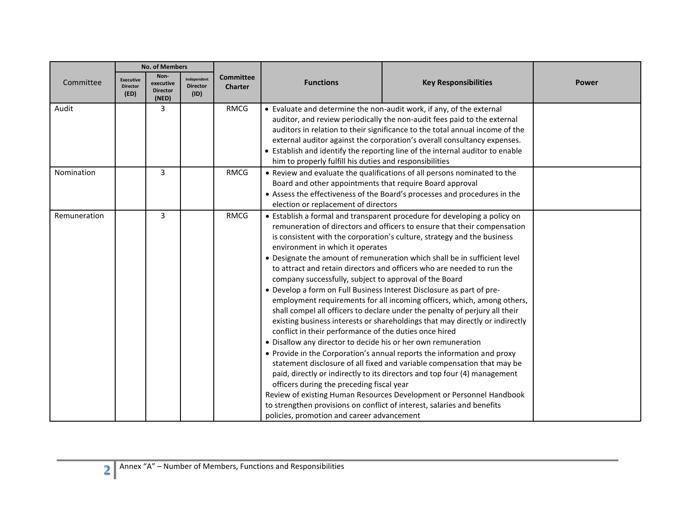|              | <b>No. of Members</b>                       |                                               |                                        |                                    |                                                                                                                                                                                                                                                                                                                                                                                                                                                                                                                                                                                                                                                                                                                                                                                                                                                                                                                                                                                                                                                                                                                                                                                                                                                                                                                                                                                                                |                             |              |
|--------------|---------------------------------------------|-----------------------------------------------|----------------------------------------|------------------------------------|----------------------------------------------------------------------------------------------------------------------------------------------------------------------------------------------------------------------------------------------------------------------------------------------------------------------------------------------------------------------------------------------------------------------------------------------------------------------------------------------------------------------------------------------------------------------------------------------------------------------------------------------------------------------------------------------------------------------------------------------------------------------------------------------------------------------------------------------------------------------------------------------------------------------------------------------------------------------------------------------------------------------------------------------------------------------------------------------------------------------------------------------------------------------------------------------------------------------------------------------------------------------------------------------------------------------------------------------------------------------------------------------------------------|-----------------------------|--------------|
| Committee    | <b>Executive</b><br><b>Director</b><br>(ED) | Non-<br>executive<br><b>Director</b><br>(NED) | Independent<br><b>Director</b><br>(1D) | <b>Committee</b><br><b>Charter</b> | <b>Functions</b>                                                                                                                                                                                                                                                                                                                                                                                                                                                                                                                                                                                                                                                                                                                                                                                                                                                                                                                                                                                                                                                                                                                                                                                                                                                                                                                                                                                               | <b>Key Responsibilities</b> | <b>Power</b> |
| Audit        |                                             | 3                                             |                                        | <b>RMCG</b>                        | • Evaluate and determine the non-audit work, if any, of the external<br>auditor, and review periodically the non-audit fees paid to the external<br>auditors in relation to their significance to the total annual income of the<br>external auditor against the corporation's overall consultancy expenses.<br>• Establish and identify the reporting line of the internal auditor to enable<br>him to properly fulfill his duties and responsibilities                                                                                                                                                                                                                                                                                                                                                                                                                                                                                                                                                                                                                                                                                                                                                                                                                                                                                                                                                       |                             |              |
| Nomination   |                                             | $\overline{3}$                                |                                        | <b>RMCG</b>                        | • Review and evaluate the qualifications of all persons nominated to the<br>Board and other appointments that require Board approval<br>• Assess the effectiveness of the Board's processes and procedures in the                                                                                                                                                                                                                                                                                                                                                                                                                                                                                                                                                                                                                                                                                                                                                                                                                                                                                                                                                                                                                                                                                                                                                                                              |                             |              |
| Remuneration |                                             | 3                                             |                                        | <b>RMCG</b>                        | election or replacement of directors<br>• Establish a formal and transparent procedure for developing a policy on<br>remuneration of directors and officers to ensure that their compensation<br>is consistent with the corporation's culture, strategy and the business<br>environment in which it operates<br>• Designate the amount of remuneration which shall be in sufficient level<br>to attract and retain directors and officers who are needed to run the<br>company successfully, subject to approval of the Board<br>. Develop a form on Full Business Interest Disclosure as part of pre-<br>employment requirements for all incoming officers, which, among others,<br>shall compel all officers to declare under the penalty of perjury all their<br>existing business interests or shareholdings that may directly or indirectly<br>conflict in their performance of the duties once hired<br>• Disallow any director to decide his or her own remuneration<br>• Provide in the Corporation's annual reports the information and proxy<br>statement disclosure of all fixed and variable compensation that may be<br>paid, directly or indirectly to its directors and top four (4) management<br>officers during the preceding fiscal year<br>Review of existing Human Resources Development or Personnel Handbook<br>to strengthen provisions on conflict of interest, salaries and benefits |                             |              |